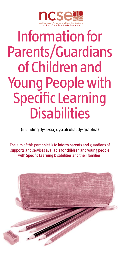

# Information for Parents/Guardians of Children and Young People with Specific Learning **Disabilities**

(including dyslexia, dyscalculia, dysgraphia)

The aim of this pamphlet is to inform parents and guardians of supports and services available for children and young people with Specific Learning Disabilities and their families.

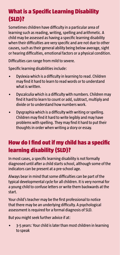## What is a Specific Learning Disability (SLD)?

Sometimes children have difficulty in a particular area of learning such as reading, writing, spelling and arithmetic. A child may be assessed as having a specific learning disability when their difficulties are very specific and are not due to other causes, such as their general ability being below average, sight or hearing difficulties, emotional factors or a physical condition.

Difficulties can range from mild to severe.

Specific learning disabilities include:

- Dyslexia which is a difficulty in learning to read. Children may find it hard to learn to read words or to understand what is written.
- Dyscalculia which is a difficulty with numbers. Children may find it hard to learn to count or add, subtract, multiply and divide or to understand how numbers work.
- Dysgraphia which is a difficulty with writing or spelling. Children may find it hard to write legibly and may have problems with spelling. They may find it hard to put their thoughts in order when writing a story or essay.

## How do I find out if my child has a specific learning disability (SLD)?

In most cases, a specific learning disability is not formally diagnosed until after a child starts school, although some of the indicators can be present at a pre-school age.

Always bear in mind that some difficulties can be part of the typical developmental cycle for all children. It is very normal for a young child to confuse letters or write them backwards at the start.

Your child's teacher may be the first professional to notice that there may be an underlying difficulty. A psychological assessment is required for a formal diagnosis of SLD.

But you might seek further advice if at:

• 3-5 years: Your child is later than most children in learning to speak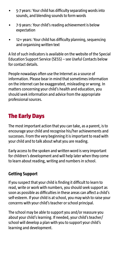- 5-7 years: Your child has difficulty separating words into sounds, and blending sounds to form words
- 7-9 years: Your child's reading achievement is below expectation
- 12+ years: Your child has difficulty planning, sequencing and organising written text

A list of such indicators is available on the website of the Special Education Support Service (SESS) – see Useful Contacts below for contact details.

People nowadays often use the Internet as a source of information. Please bear in mind that sometimes information on the internet can be exaggerated, misleading or wrong. In matters concerning your child's health and education, you should seek information and advice from the appropriate professional sources.

## The Early Days

The most important action that you can take, as a parent, is to encourage your child and recognise his/her achievements and successes. From the very beginning it is important to read with your child and to talk about what you are reading.

Early access to the spoken and written word is very important for children's development and will help later when they come to learn about reading, writing and numbers in school.

#### **Getting Support**

If you suspect that your child is finding it difficult to learn to read, write or work with numbers, you should seek support as soon as possible as difficulties in these areas can affect a child's self-esteem. If your child is at school, you may wish to raise your concerns with your child's teacher or school principal.

The school may be able to support you and/or reassure you about your child's learning. If needed, your child's teacher/ school will develop a plan with you to support your child's learning and development.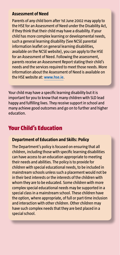#### **Assessment of Need**

Parents of any child born after 1st June 2002 may apply to the HSE for an Assessment of Need under the Disability Act, if they think that their child may have a disability. If your child has more complex learning or developmental needs, such a general learning disability (See NCSE parental information leaflet on general learning disabilities, available on the NCSE website), you can apply to the HSE for an Assessment of Need. Following the assessment, parents receive an Assessment Report stating their child's needs and the services required to meet those needs. More information about the Assessment of Need is available on the HSE website at: **[www.hse.ie](http://www.hse.ie)**.

Your child may have a specific learning disability but it is important for you to know that many children with SLD lead happy and fulfilling lives. They receive support in school and many achieve good outcomes and go on to further and higher education.

### Your Child's Education

#### **Department of Education and Skills: Policy**

The Department's policy is focused on ensuring that all children, including those with specific learning disabilities can have access to an education appropriate to meeting their needs and abilities. The policy is to provide for children with special educational needs, to be included in mainstream schools unless such a placement would not be in their best interests or the interests of the children with whom they are to be educated. Some children with more complex special educational needs may be supported in a special class in a mainstream school. These children have the option, where appropriate, of full or part-time inclusion and interaction with other children. Other children may have such complex needs that they are best placed in a special school.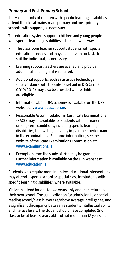#### **Primary and Post Primary School**

The vast majority of children with specific learning disabilities attend their local mainstream primary and post-primary schools, with support, as necessary.

The education system supports children and young people with specific learning disabilities in the following ways:

- The classroom teacher supports students with special educational needs and may adapt lessons or tasks to suit the individual, as necessary.
- Learning support teachers are available to provide additional teaching, if it is required.
- Additional supports, such as assistive technology (in accordance with the criteria set out in DES Circular 0010/2013) may also be provided where children are eligible.
- Information about DES schemes is available on the DES website at: **[www.education.ie](http://www.education.ie)**.
- Reasonable Accommodation in Certificate Examinations (RACE) may be available for students with permanent or long-term conditions, including specific learning disabilities, that will significantly impair their performance in the examinations. For more information, see the website of the State Examinations Commission at: **[www.examinations.ie](http://www.examinations.ie)**.
- Exemption from the study of Irish may be granted. Further information is available on the DES website at **[www.education.ie](http://www.education.ie)**.

Students who require more intensive educational interventions may attend a special school or special class for students with specific learning disabilities, where available.

 Children attend for one to two years only and then return to their own school. The usual criterion for admission to a special reading school/class is average/above average intelligence, and a significant discrepancy between a student's intellectual ability and literacy levels. The student should have completed 2nd class or be at least 8 years old and not more than 12 years old.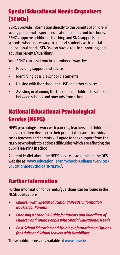## Special Educational Needs Organisers (SENOs)

SENOs provide information directly to the parents of children/ young people with special educational needs and to schools. SENOs approve additional teaching and SNA supports to schools, where necessary, to support students with special educational needs. SENOs also have a role in supporting and advising parents/guardians.

Your SENO can assist you in a number of ways by:

- Providing support and advice
- Identifying possible school placements
- Liaising with the school, the HSE and other services
- Assisting in planning the transition of children to school, between schools and onwards from school.

## National Educational Psychological Service (NEPS)

NEPS psychologists work with parents, teachers and children to help all children develop to their potential. In some individual cases teachers and parents will agree to seek support from the NEPS psychologist to address difficulties which are affecting the pupil's learning in school.

A parent leaflet about the NEPS service is available on the DES website at: **[www.education.ie/en/Schools-Colleges/Services/](http://www.education.ie/en/Schools-Colleges/Services/Educational-Psychologist-NEPS-/) [Educational-Psychologist-NEPS-/](http://www.education.ie/en/Schools-Colleges/Services/Educational-Psychologist-NEPS-/)**.

## Further Information

Further information for parents/guardians can be found in the NCSE publications:

- *• Children with Special Educational Needs: Information Booklet for Parents*
- *• Choosing a School: A Guide for Parents and Guardians of Children and Young People with Special Educational Needs*
- *• Post-School Education and Training Information on Options for Adults and School Leavers with Disabilities*

These publications are available at **[www.ncse.ie](http://www.ncse.ie)**.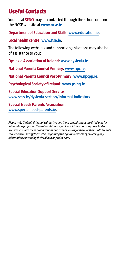## Useful Contacts

Your local **SENO** may be contacted through the school or from the NCSE website at **[www.ncse.ie](http://www.ncse.ie)**.

**Department of Education and Skills**: **[www.education.ie](http://www.education.ie)**.

**Local health centre**: **[www.hse.ie](http://www.hse.ie)**.

The following websites and support organisations may also be of assistance to you:

**Dyslexia Association of Ireland**: **[www.dyslexia.ie](http://www.dyslexia.ie)**.

**National Parents Council Primary**: **[www.npc.ie](http://www.npc.ie)**.

**National Parents Council Post-Primary**: **[www.npcpp.ie](http://www.npcpp.ie)**.

**Psychological Society of Ireland**: **[www.psihq.ie](http://www.psihq.ie)**.

**Special Education Support Service**: **[www.sess.ie/dyslexia-section/informal-indicators](http://www.sess.ie/dyslexia-section/informal-indicators)**.

**Special Needs Parents Association**: **[www.specialneedsparents.ie](http://www.specialneedsparents.ie)**.

.

*Please note that this list is not exhaustive and these organisations are listed only for information purposes. The National Council for Special Education may have had no involvement with these organisations and cannot vouch for them or their staff. Parents should always satisfy themselves regarding the appropriateness of providing any information concerning their child to any third-party.*